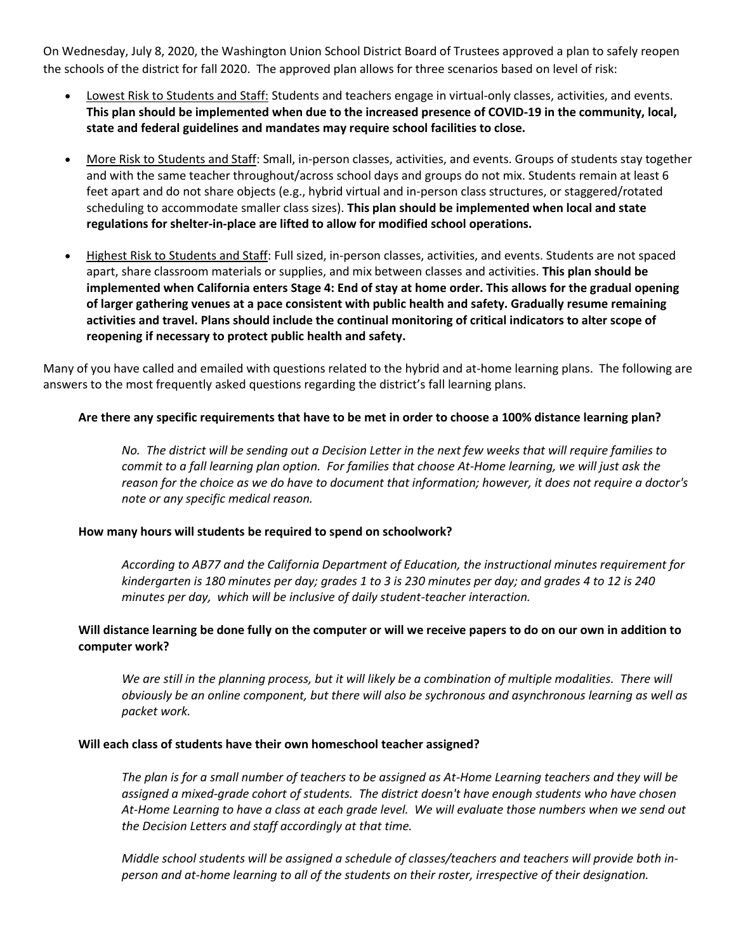On Wednesday, July 8, 2020, the Washington Union School District Board of Trustees approved a plan to safely reopen the schools of the district for fall 2020. The approved plan allows for three scenarios based on level of risk:

- Lowest Risk to Students and Staff: Students and teachers engage in virtual-only classes, activities, and events. **This plan should be implemented when due to the increased presence of COVID-19 in the community, local, state and federal guidelines and mandates may require school facilities to close.**
- More Risk to Students and Staff: Small, in-person classes, activities, and events. Groups of students stay together and with the same teacher throughout/across school days and groups do not mix. Students remain at least 6 feet apart and do not share objects (e.g., hybrid virtual and in-person class structures, or staggered/rotated scheduling to accommodate smaller class sizes). **This plan should be implemented when local and state regulations for shelter-in-place are lifted to allow for modified school operations.**
- Highest Risk to Students and Staff: Full sized, in-person classes, activities, and events. Students are not spaced apart, share classroom materials or supplies, and mix between classes and activities. **This plan should be implemented when California enters Stage 4: End of stay at home order. This allows for the gradual opening of larger gathering venues at a pace consistent with public health and safety. Gradually resume remaining activities and travel. Plans should include the continual monitoring of critical indicators to alter scope of reopening if necessary to protect public health and safety.**

Many of you have called and emailed with questions related to the hybrid and at-home learning plans. The following are answers to the most frequently asked questions regarding the district's fall learning plans.

## **Are there any specific requirements that have to be met in order to choose a 100% distance learning plan?**

*No. The district will be sending out a Decision Letter in the next few weeks that will require families to commit to a fall learning plan option. For families that choose At-Home learning, we will just ask the reason for the choice as we do have to document that information; however, it does not require a doctor's note or any specific medical reason.*

## **How many hours will students be required to spend on schoolwork?**

*According to AB77 and the California Department of Education, the instructional minutes requirement for kindergarten is 180 minutes per day; grades 1 to 3 is 230 minutes per day; and grades 4 to 12 is 240 minutes per day, which will be inclusive of daily student-teacher interaction.*

# **Will distance learning be done fully on the computer or will we receive papers to do on our own in addition to computer work?**

*We are still in the planning process, but it will likely be a combination of multiple modalities. There will obviously be an online component, but there will also be sychronous and asynchronous learning as well as packet work.*

## **Will each class of students have their own homeschool teacher assigned?**

*The plan is for a small number of teachers to be assigned as At-Home Learning teachers and they will be assigned a mixed-grade cohort of students. The district doesn't have enough students who have chosen At-Home Learning to have a class at each grade level. We will evaluate those numbers when we send out the Decision Letters and staff accordingly at that time.*

*Middle school students will be assigned a schedule of classes/teachers and teachers will provide both inperson and at-home learning to all of the students on their roster, irrespective of their designation.*